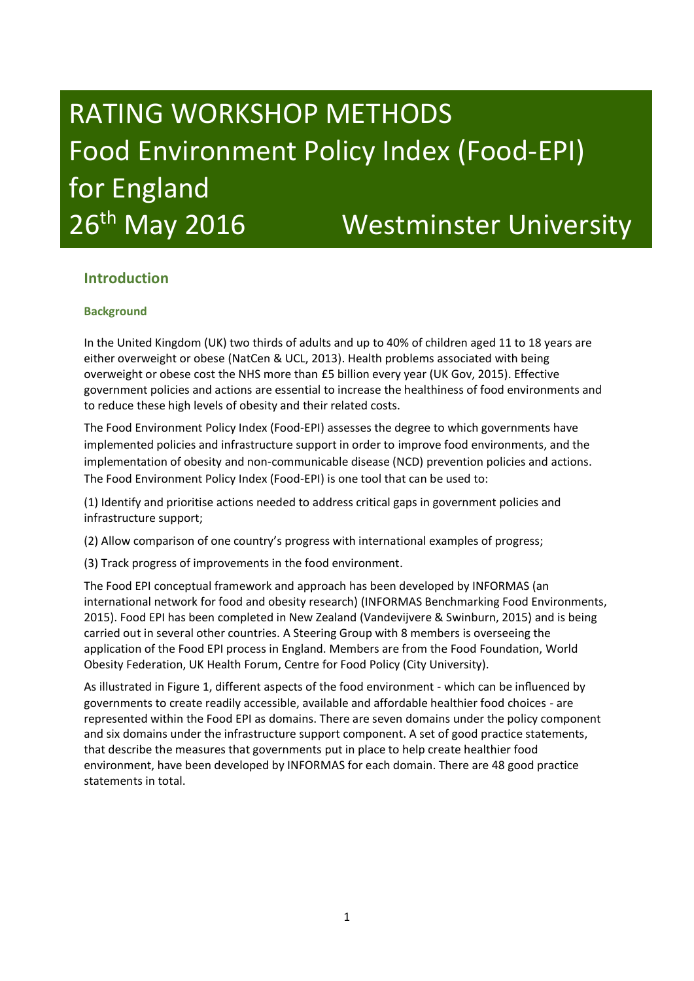# RATING WORKSHOP METHODS Food Environment Policy Index (Food-EPI) for England 26<sup>th</sup> May 2016 Westminster University

### **Introduction**

#### **Background**

In the United Kingdom (UK) two thirds of adults and up to 40% of children aged 11 to 18 years are either overweight or obese (NatCen & UCL, 2013). Health problems associated with being overweight or obese cost the NHS more than £5 billion every year (UK Gov, 2015). Effective government policies and actions are essential to increase the healthiness of food environments and to reduce these high levels of obesity and their related costs.

The Food Environment Policy Index (Food-EPI) assesses the degree to which governments have implemented policies and infrastructure support in order to improve food environments, and the implementation of obesity and non-communicable disease (NCD) prevention policies and actions. The Food Environment Policy Index (Food-EPI) is one tool that can be used to:

(1) Identify and prioritise actions needed to address critical gaps in government policies and infrastructure support;

(2) Allow comparison of one country's progress with international examples of progress;

(3) Track progress of improvements in the food environment.

The Food EPI conceptual framework and approach has been developed by INFORMAS (an international network for food and obesity research) (INFORMAS Benchmarking Food Environments, 2015). Food EPI has been completed in New Zealand (Vandevijvere & Swinburn, 2015) and is being carried out in several other countries. A Steering Group with 8 members is overseeing the application of the Food EPI process in England. Members are from the Food Foundation, World Obesity Federation, UK Health Forum, Centre for Food Policy (City University).

As illustrated in Figure 1, different aspects of the food environment - which can be influenced by governments to create readily accessible, available and affordable healthier food choices - are represented within the Food EPI as domains. There are seven domains under the policy component and six domains under the infrastructure support component. A set of good practice statements, that describe the measures that governments put in place to help create healthier food environment, have been developed by INFORMAS for each domain. There are 48 good practice statements in total.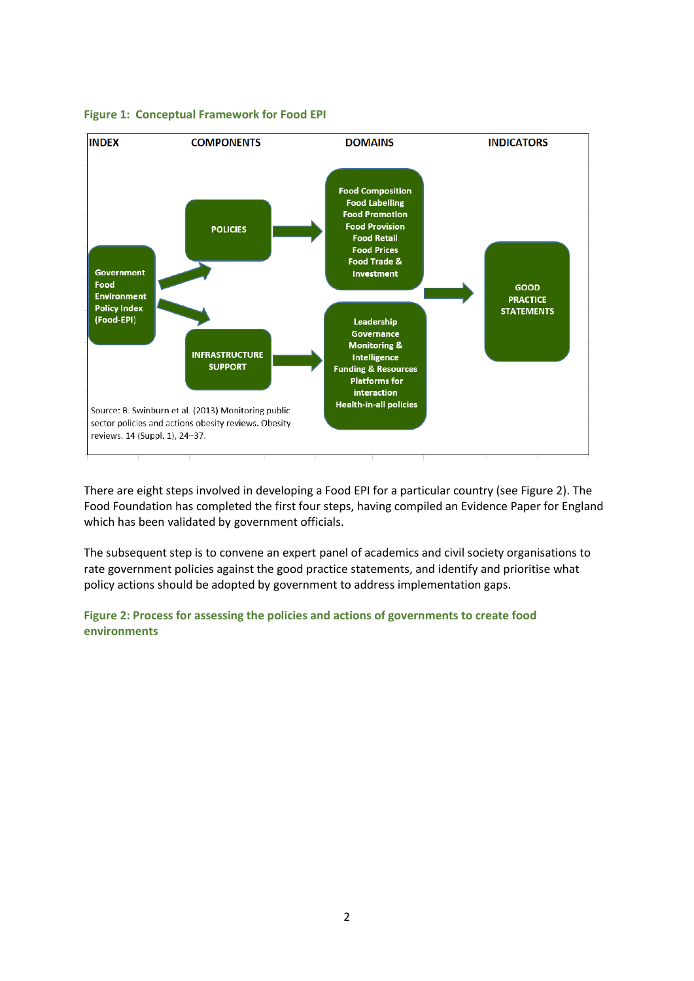

#### **Figure 1: Conceptual Framework for Food EPI**

There are eight steps involved in developing a Food EPI for a particular country (see Figure 2). The Food Foundation has completed the first four steps, having compiled an Evidence Paper for England which has been validated by government officials.

The subsequent step is to convene an expert panel of academics and civil society organisations to rate government policies against the good practice statements, and identify and prioritise what policy actions should be adopted by government to address implementation gaps.

**Figure 2: Process for assessing the policies and actions of governments to create food environments**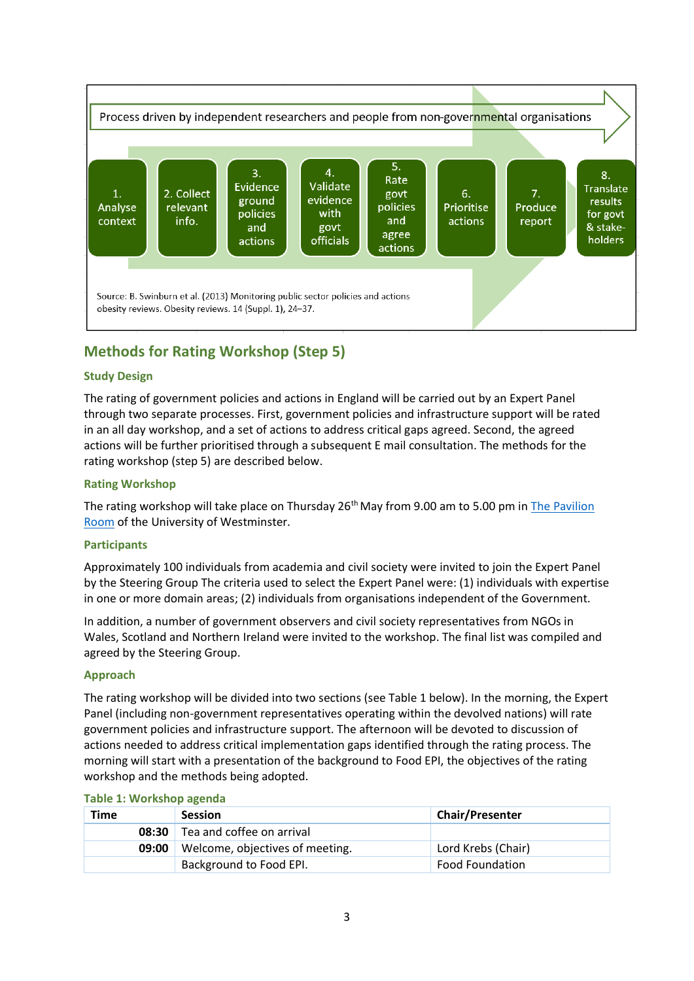

## **Methods for Rating Workshop (Step 5)**

#### **Study Design**

The rating of government policies and actions in England will be carried out by an Expert Panel through two separate processes. First, government policies and infrastructure support will be rated in an all day workshop, and a set of actions to address critical gaps agreed. Second, the agreed actions will be further prioritised through a subsequent E mail consultation. The methods for the rating workshop (step 5) are described below.

#### **Rating Workshop**

The rating workshop will take place on Thursday  $26<sup>th</sup>$  May from 9.00 am to 5.00 pm in The Pavilion [Room](https://www.westminster.ac.uk/business/facilities-and-services/venues-for-hire/conference-and-venues/cavendish/the-pavilion) of the University of Westminster.

#### **Participants**

Approximately 100 individuals from academia and civil society were invited to join the Expert Panel by the Steering Group The criteria used to select the Expert Panel were: (1) individuals with expertise in one or more domain areas; (2) individuals from organisations independent of the Government.

In addition, a number of government observers and civil society representatives from NGOs in Wales, Scotland and Northern Ireland were invited to the workshop. The final list was compiled and agreed by the Steering Group.

#### **Approach**

The rating workshop will be divided into two sections (see Table 1 below). In the morning, the Expert Panel (including non-government representatives operating within the devolved nations) will rate government policies and infrastructure support. The afternoon will be devoted to discussion of actions needed to address critical implementation gaps identified through the rating process. The morning will start with a presentation of the background to Food EPI, the objectives of the rating workshop and the methods being adopted.

| <b>TADIC 1. VVOLKSHOP ASCHAA</b><br>Time |       | <b>Session</b>                  | <b>Chair/Presenter</b> |
|------------------------------------------|-------|---------------------------------|------------------------|
|                                          | 08:30 | Tea and coffee on arrival       |                        |
|                                          | 09:00 | Welcome, objectives of meeting. | Lord Krebs (Chair)     |
|                                          |       | Background to Food EPI.         | <b>Food Foundation</b> |

#### **Table 1: Workshop agenda**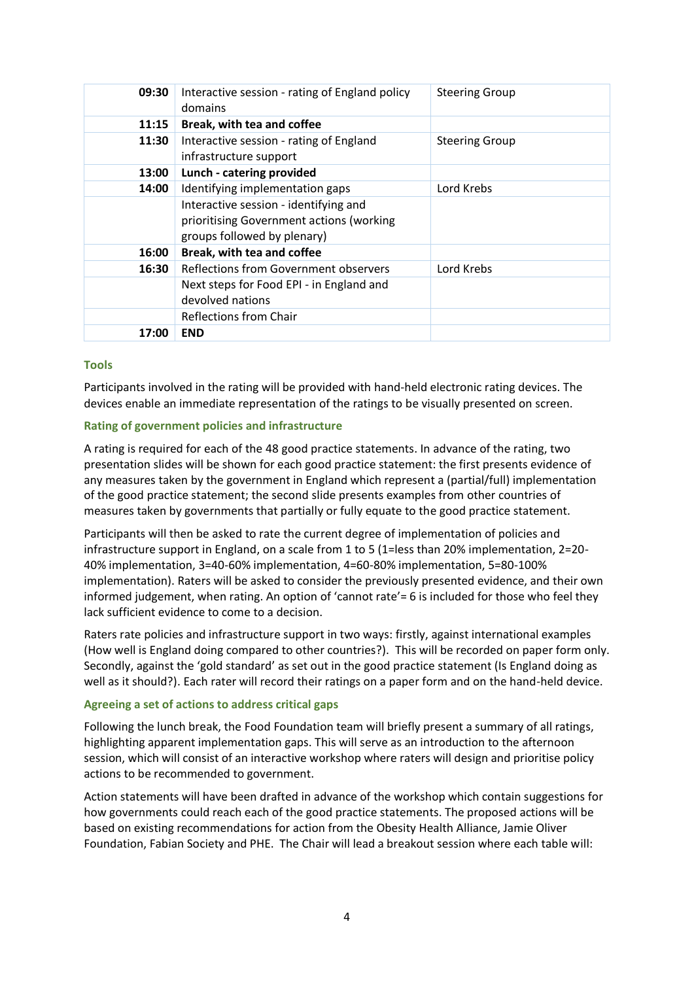| 09:30 | Interactive session - rating of England policy<br>domains | <b>Steering Group</b> |
|-------|-----------------------------------------------------------|-----------------------|
| 11:15 | Break, with tea and coffee                                |                       |
| 11:30 | Interactive session - rating of England                   | <b>Steering Group</b> |
|       | infrastructure support                                    |                       |
| 13:00 | Lunch - catering provided                                 |                       |
| 14:00 | Identifying implementation gaps                           | Lord Krebs            |
|       | Interactive session - identifying and                     |                       |
|       | prioritising Government actions (working                  |                       |
|       | groups followed by plenary)                               |                       |
| 16:00 | Break, with tea and coffee                                |                       |
| 16:30 | Reflections from Government observers                     | Lord Krebs            |
|       | Next steps for Food EPI - in England and                  |                       |
|       | devolved nations                                          |                       |
|       | Reflections from Chair                                    |                       |
| 17:00 | <b>END</b>                                                |                       |

#### **Tools**

Participants involved in the rating will be provided with hand-held electronic rating devices. The devices enable an immediate representation of the ratings to be visually presented on screen.

#### **Rating of government policies and infrastructure**

A rating is required for each of the 48 good practice statements. In advance of the rating, two presentation slides will be shown for each good practice statement: the first presents evidence of any measures taken by the government in England which represent a (partial/full) implementation of the good practice statement; the second slide presents examples from other countries of measures taken by governments that partially or fully equate to the good practice statement.

Participants will then be asked to rate the current degree of implementation of policies and infrastructure support in England, on a scale from 1 to 5 (1=less than 20% implementation, 2=20-40% implementation, 3=40-60% implementation, 4=60-80% implementation, 5=80-100% implementation). Raters will be asked to consider the previously presented evidence, and their own informed judgement, when rating. An option of 'cannot rate'= 6 is included for those who feel they lack sufficient evidence to come to a decision.

Raters rate policies and infrastructure support in two ways: firstly, against international examples (How well is England doing compared to other countries?). This will be recorded on paper form only. Secondly, against the 'gold standard' as set out in the good practice statement (Is England doing as well as it should?). Each rater will record their ratings on a paper form and on the hand-held device.

#### **Agreeing a set of actions to address critical gaps**

Following the lunch break, the Food Foundation team will briefly present a summary of all ratings, highlighting apparent implementation gaps. This will serve as an introduction to the afternoon session, which will consist of an interactive workshop where raters will design and prioritise policy actions to be recommended to government.

Action statements will have been drafted in advance of the workshop which contain suggestions for how governments could reach each of the good practice statements. The proposed actions will be based on existing recommendations for action from the Obesity Health Alliance, Jamie Oliver Foundation, Fabian Society and PHE. The Chair will lead a breakout session where each table will: